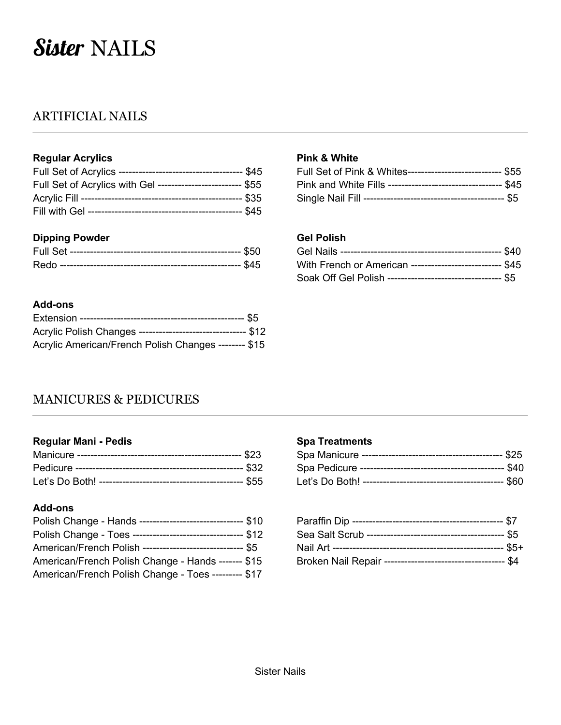# Sister NAILS

# ARTIFICIAL NAILS

## **Regular Acrylics**

| Full Set of Acrylics with GeI ------------------------- \$55 |  |
|--------------------------------------------------------------|--|
|                                                              |  |
|                                                              |  |

### **Dipping Powder**

## **Add-ons**

| Acrylic Polish Changes -------------------------------- \$12 |  |
|--------------------------------------------------------------|--|
| Acrylic American/French Polish Changes -------- \$15         |  |

#### **Pink & White**

| Full Set of Pink & Whites----------------------------- \$55  |  |
|--------------------------------------------------------------|--|
| Pink and White Fills ---------------------------------- \$45 |  |
|                                                              |  |

## **Gel Polish**

| With French or American -------------------------- \$45     |  |
|-------------------------------------------------------------|--|
| Soak Off Gel Polish ----------------------------------- \$5 |  |

# MANICURES & PEDICURES

#### **Regular Mani - Pedis**

## **Add-ons**

| Polish Change - Hands ------------------------------- \$10  |  |
|-------------------------------------------------------------|--|
| Polish Change - Toes --------------------------------- \$12 |  |
| American/French Polish ------------------------------ \$5   |  |
| American/French Polish Change - Hands ------- \$15          |  |
| American/French Polish Change - Toes --------- \$17         |  |

#### **Spa Treatments**